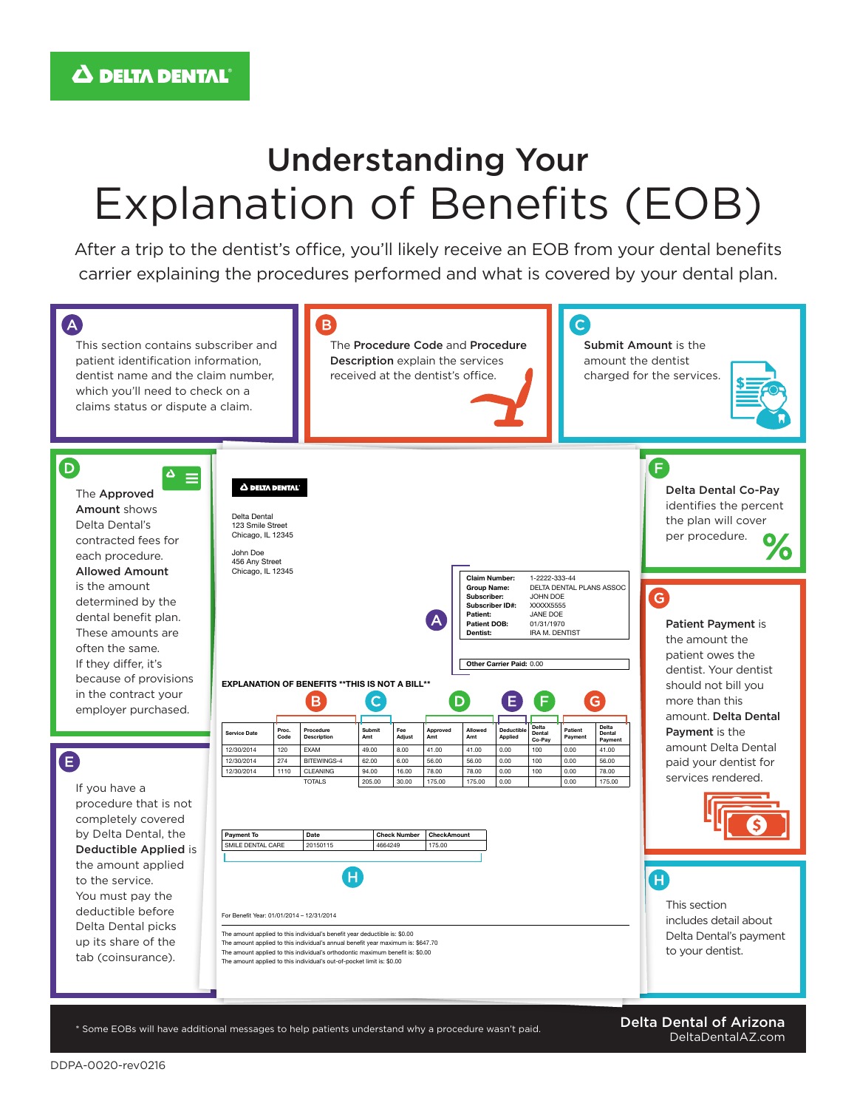## Understanding Your Explanation of Benefits (EOB)

After a trip to the dentist's office, you'll likely receive an EOB from your dental benefits carrier explaining the procedures performed and what is covered by your dental plan.